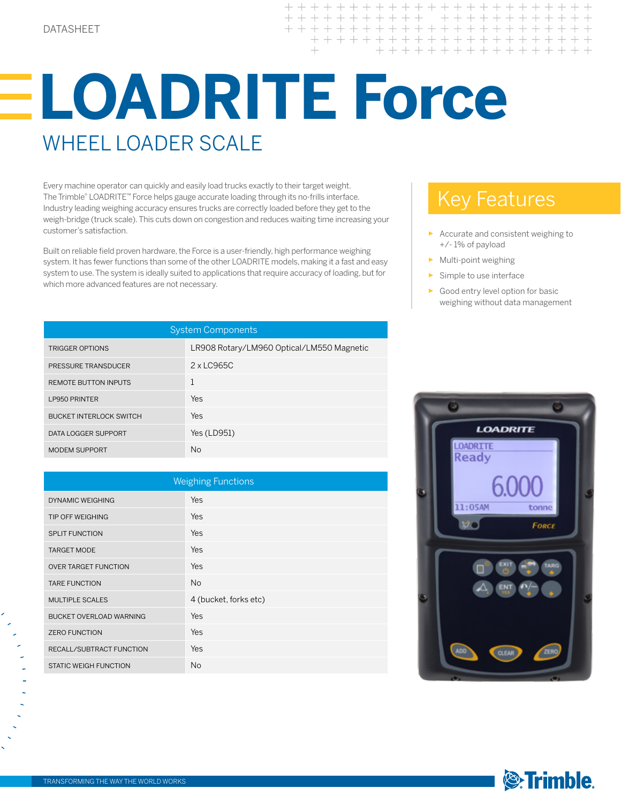$+++++$  $+ + + +$  $+ + + +$ + + + + + + + + + + + + + + + + + + + +

## **LOADRITE Force** WHEEL LOADER SCALE

Every machine operator can quickly and easily load trucks exactly to their target weight. The Trimble® LOADRITE™ Force helps gauge accurate loading through its no-frills interface. Industry leading weighing accuracy ensures trucks are correctly loaded before they get to the weigh-bridge (truck scale). This cuts down on congestion and reduces waiting time increasing your customer's satisfaction.

Built on reliable field proven hardware, the Force is a user-friendly, high performance weighing system. It has fewer functions than some of the other LOADRITE models, making it a fast and easy system to use. The system is ideally suited to applications that require accuracy of loading, but for which more advanced features are not necessary.

## Key Features

- ► Accurate and consistent weighing to +/- 1% of payload
- ► Multi-point weighing
- Simple to use interface
- ► Good entry level option for basic weighing without data management

| <b>System Components</b>       |                                           |  |  |  |
|--------------------------------|-------------------------------------------|--|--|--|
| <b>TRIGGER OPTIONS</b>         | LR908 Rotary/LM960 Optical/LM550 Magnetic |  |  |  |
| PRESSURE TRANSDUCER            | $2 \times$ LC965C                         |  |  |  |
| <b>REMOTE BUTTON INPUTS</b>    |                                           |  |  |  |
| <b>LP950 PRINTER</b>           | Yes                                       |  |  |  |
| <b>BUCKET INTERLOCK SWITCH</b> | Yes                                       |  |  |  |
| DATA LOGGER SUPPORT            | Yes (LD951)                               |  |  |  |
| <b>MODEM SUPPORT</b>           | No.                                       |  |  |  |

| <b>Weighing Functions</b>   |                       |  |  |  |
|-----------------------------|-----------------------|--|--|--|
| DYNAMIC WEIGHING            | Yes                   |  |  |  |
| <b>TIP OFF WEIGHING</b>     | Yes                   |  |  |  |
| <b>SPLIT FUNCTION</b>       | Yes                   |  |  |  |
| <b>TARGET MODE</b>          | Yes                   |  |  |  |
| <b>OVER TARGET FUNCTION</b> | Yes                   |  |  |  |
| <b>TARE FUNCTION</b>        | N <sub>o</sub>        |  |  |  |
| <b>MULTIPLE SCALES</b>      | 4 (bucket, forks etc) |  |  |  |
| BUCKET OVERLOAD WARNING     | Yes                   |  |  |  |
| <b>ZERO FUNCTION</b>        | Yes                   |  |  |  |
| RECALL/SUBTRACT FUNCTION    | Yes                   |  |  |  |
| STATIC WEIGH FUNCTION       | N <sub>o</sub>        |  |  |  |